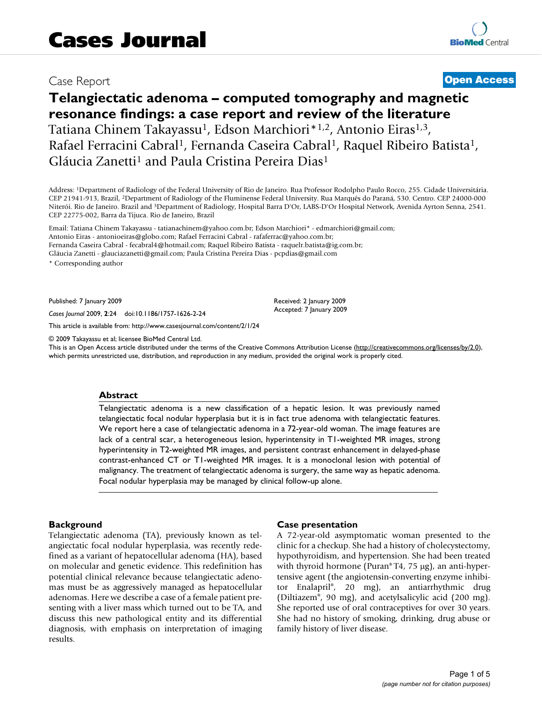## Case Report **[Open Access](http://www.biomedcentral.com/info/about/charter/)**

# **Telangiectatic adenoma – computed tomography and magnetic resonance findings: a case report and review of the literature** Tatiana Chinem Takayassu<sup>1</sup>, Edson Marchiori<sup>\*1,2</sup>, Antonio Eiras<sup>1,3</sup>, Rafael Ferracini Cabral<sup>1</sup>, Fernanda Caseira Cabral<sup>1</sup>, Raquel Ribeiro Batista<sup>1</sup>, Gláucia Zanetti<sup>1</sup> and Paula Cristina Pereira Dias<sup>1</sup>

Address: 1Department of Radiology of the Federal University of Rio de Janeiro. Rua Professor Rodolpho Paulo Rocco, 255. Cidade Universitária. CEP 21941-913, Brazil, 2Department of Radiology of the Fluminense Federal University. Rua Marquês do Paraná, 530. Centro. CEP 24000-000 Niterói. Rio de Janeiro. Brazil and 3Department of Radiology, Hospital Barra D'Or, LABS-D'Or Hospital Network, Avenida Ayrton Senna, 2541. CEP 22775-002, Barra da Tijuca. Rio de Janeiro, Brazil

Email: Tatiana Chinem Takayassu - tatianachinem@yahoo.com.br; Edson Marchiori\* - edmarchiori@gmail.com; Antonio Eiras - antonioeiras@globo.com; Rafael Ferracini Cabral - rafaferrac@yahoo.com.br; Fernanda Caseira Cabral - fecabral4@hotmail.com; Raquel Ribeiro Batista - raquelr.batista@ig.com.br; Gláucia Zanetti - glauciazanetti@gmail.com; Paula Cristina Pereira Dias - pcpdias@gmail.com

\* Corresponding author

Published: 7 January 2009

*Cases Journal* 2009, **2**:24 doi:10.1186/1757-1626-2-24

[This article is available from: http://www.casesjournal.com/content/2/1/24](http://www.casesjournal.com/content/2/1/24)

© 2009 Takayassu et al; licensee BioMed Central Ltd.

This is an Open Access article distributed under the terms of the Creative Commons Attribution License [\(http://creativecommons.org/licenses/by/2.0\)](http://creativecommons.org/licenses/by/2.0), which permits unrestricted use, distribution, and reproduction in any medium, provided the original work is properly cited.

#### **Abstract**

Telangiectatic adenoma is a new classification of a hepatic lesion. It was previously named telangiectatic focal nodular hyperplasia but it is in fact true adenoma with telangiectatic features. We report here a case of telangiectatic adenoma in a 72-year-old woman. The image features are lack of a central scar, a heterogeneous lesion, hyperintensity in T1-weighted MR images, strong hyperintensity in T2-weighted MR images, and persistent contrast enhancement in delayed-phase contrast-enhanced CT or T1-weighted MR images. It is a monoclonal lesion with potential of malignancy. The treatment of telangiectatic adenoma is surgery, the same way as hepatic adenoma. Focal nodular hyperplasia may be managed by clinical follow-up alone.

#### **Background**

Telangiectatic adenoma (TA), previously known as telangiectatic focal nodular hyperplasia, was recently redefined as a variant of hepatocellular adenoma (HA), based on molecular and genetic evidence. This redefinition has potential clinical relevance because telangiectatic adenomas must be as aggressively managed as hepatocellular adenomas. Here we describe a case of a female patient presenting with a liver mass which turned out to be TA, and discuss this new pathological entity and its differential diagnosis, with emphasis on interpretation of imaging results.

#### **Case presentation**

Received: 2 January 2009 Accepted: 7 January 2009

A 72-year-old asymptomatic woman presented to the clinic for a checkup. She had a history of cholecystectomy, hypothyroidism, and hypertension. She had been treated with thyroid hormone (Puran® T4, 75 μg), an anti-hypertensive agent (the angiotensin-converting enzyme inhibitor Enalapril®, 20 mg), an antiarrhythmic drug (Diltiazem®, 90 mg), and acetylsalicylic acid (200 mg). She reported use of oral contraceptives for over 30 years. She had no history of smoking, drinking, drug abuse or family history of liver disease.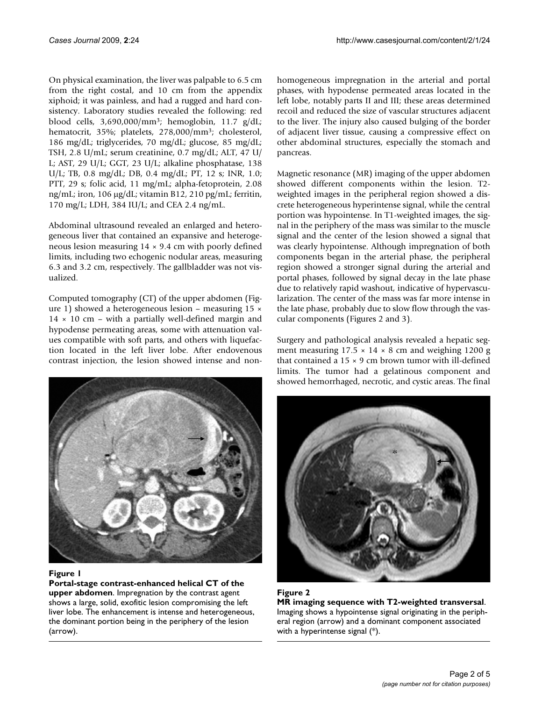On physical examination, the liver was palpable to 6.5 cm from the right costal, and 10 cm from the appendix xiphoid; it was painless, and had a rugged and hard consistency. Laboratory studies revealed the following: red blood cells, 3,690,000/mm3; hemoglobin, 11.7 g/dL; hematocrit, 35%; platelets, 278,000/mm<sup>3</sup>; cholesterol, 186 mg/dL; triglycerides, 70 mg/dL; glucose, 85 mg/dL; TSH, 2.8 U/mL; serum creatinine, 0.7 mg/dL; ALT, 47 U/ L; AST, 29 U/L; GGT, 23 U/L; alkaline phosphatase, 138 U/L; TB, 0.8 mg/dL; DB, 0.4 mg/dL; PT, 12 s; INR, 1.0; PTT, 29 s; folic acid, 11 mg/mL; alpha-fetoprotein, 2.08 ng/mL; iron, 106 μg/dL; vitamin B12, 210 pg/mL; ferritin, 170 mg/L; LDH, 384 IU/L; and CEA 2.4 ng/mL.

Abdominal ultrasound revealed an enlarged and heterogeneous liver that contained an expansive and heterogeneous lesion measuring  $14 \times 9.4$  cm with poorly defined limits, including two echogenic nodular areas, measuring 6.3 and 3.2 cm, respectively. The gallbladder was not visualized.

Computed tomography (CT) of the upper abdomen (Figure 1) showed a heterogeneous lesion – measuring 15 ×  $14 \times 10$  cm – with a partially well-defined margin and hypodense permeating areas, some with attenuation values compatible with soft parts, and others with liquefaction located in the left liver lobe. After endovenous contrast injection, the lesion showed intense and non-



#### **Figure 1**

**Portal-stage contrast-enhanced helical CT of the upper abdomen**. Impregnation by the contrast agent shows a large, solid, exofitic lesion compromising the left liver lobe. The enhancement is intense and heterogeneous, the dominant portion being in the periphery of the lesion (arrow).

homogeneous impregnation in the arterial and portal phases, with hypodense permeated areas located in the left lobe, notably parts II and III; these areas determined recoil and reduced the size of vascular structures adjacent to the liver. The injury also caused bulging of the border of adjacent liver tissue, causing a compressive effect on other abdominal structures, especially the stomach and pancreas.

Magnetic resonance (MR) imaging of the upper abdomen showed different components within the lesion. T2 weighted images in the peripheral region showed a discrete heterogeneous hyperintense signal, while the central portion was hypointense. In T1-weighted images, the signal in the periphery of the mass was similar to the muscle signal and the center of the lesion showed a signal that was clearly hypointense. Although impregnation of both components began in the arterial phase, the peripheral region showed a stronger signal during the arterial and portal phases, followed by signal decay in the late phase due to relatively rapid washout, indicative of hypervascularization. The center of the mass was far more intense in the late phase, probably due to slow flow through the vascular components (Figures 2 and 3).

Surgery and pathological analysis revealed a hepatic segment measuring  $17.5 \times 14 \times 8$  cm and weighing 1200 g that contained a  $15 \times 9$  cm brown tumor with ill-defined limits. The tumor had a gelatinous component and showed hemorrhaged, necrotic, and cystic areas. The final



**Figure 2 MR imaging sequence with T2-weighted transversal**. Imaging shows a hypointense signal originating in the peripheral region (arrow) and a dominant component associated with a hyperintense signal (\*).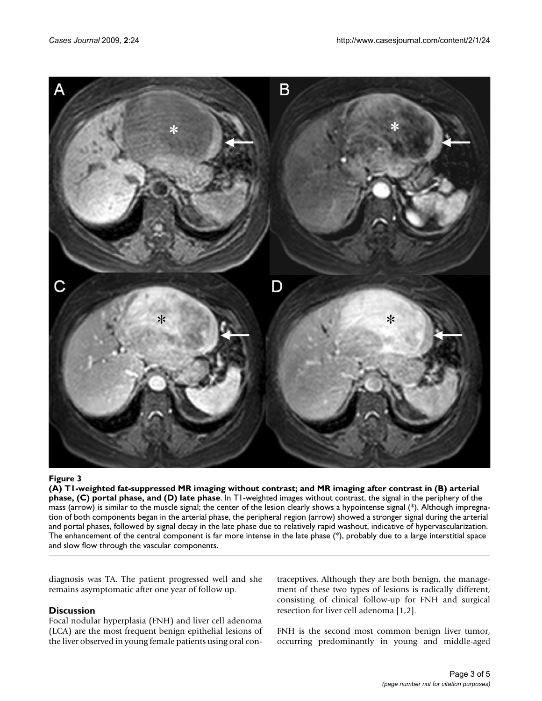

#### (A) T1-weighted fat-suppressed MR imaging wi phase, and (D) late phase **Figure 3** thout contrast; and MR imaging after contrast in (B) arterial phase, (C) portal

**(A) T1-weighted fat-suppressed MR imaging without contrast; and MR imaging after contrast in (B) arterial phase, (C) portal phase, and (D) late phase**. In T1-weighted images without contrast, the signal in the periphery of the mass (arrow) is similar to the muscle signal; the center of the lesion clearly shows a hypointense signal (\*). Although impregnation of both components began in the arterial phase, the peripheral region (arrow) showed a stronger signal during the arterial and portal phases, followed by signal decay in the late phase due to relatively rapid washout, indicative of hypervascularization. The enhancement of the central component is far more intense in the late phase (\*), probably due to a large interstitial space and slow flow through the vascular components.

diagnosis was TA. The patient progressed well and she remains asymptomatic after one year of follow up.

#### **Discussion**

Focal nodular hyperplasia (FNH) and liver cell adenoma (LCA) are the most frequent benign epithelial lesions of the liver observed in young female patients using oral contraceptives. Although they are both benign, the management of these two types of lesions is radically different, consisting of clinical follow-up for FNH and surgical resection for liver cell adenoma [1,2].

FNH is the second most common benign liver tumor, occurring predominantly in young and middle-aged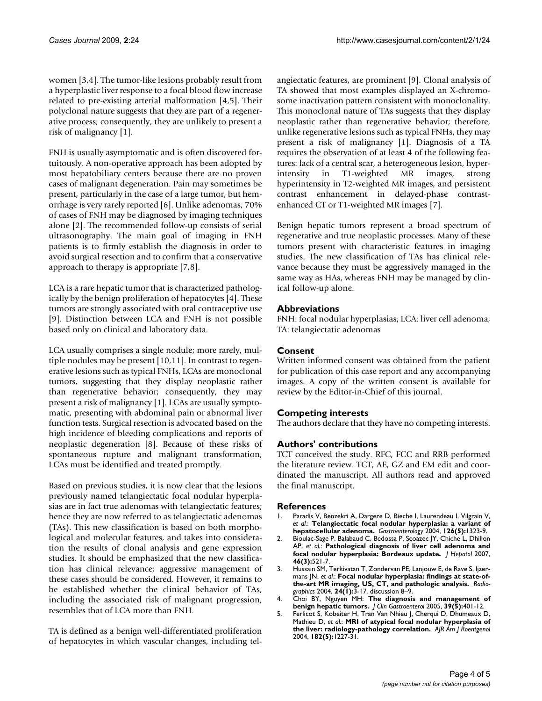women [3,4]. The tumor-like lesions probably result from a hyperplastic liver response to a focal blood flow increase related to pre-existing arterial malformation [4,5]. Their polyclonal nature suggests that they are part of a regenerative process; consequently, they are unlikely to present a risk of malignancy [1].

FNH is usually asymptomatic and is often discovered fortuitously. A non-operative approach has been adopted by most hepatobiliary centers because there are no proven cases of malignant degeneration. Pain may sometimes be present, particularly in the case of a large tumor, but hemorrhage is very rarely reported [6]. Unlike adenomas, 70% of cases of FNH may be diagnosed by imaging techniques alone [2]. The recommended follow-up consists of serial ultrasonography. The main goal of imaging in FNH patients is to firmly establish the diagnosis in order to avoid surgical resection and to confirm that a conservative approach to therapy is appropriate [7,8].

LCA is a rare hepatic tumor that is characterized pathologically by the benign proliferation of hepatocytes [4]. These tumors are strongly associated with oral contraceptive use [9]. Distinction between LCA and FNH is not possible based only on clinical and laboratory data.

LCA usually comprises a single nodule; more rarely, multiple nodules may be present [10,11]. In contrast to regenerative lesions such as typical FNHs, LCAs are monoclonal tumors, suggesting that they display neoplastic rather than regenerative behavior; consequently, they may present a risk of malignancy [1]. LCAs are usually symptomatic, presenting with abdominal pain or abnormal liver function tests. Surgical resection is advocated based on the high incidence of bleeding complications and reports of neoplastic degeneration [8]. Because of these risks of spontaneous rupture and malignant transformation, LCAs must be identified and treated promptly.

Based on previous studies, it is now clear that the lesions previously named telangiectatic focal nodular hyperplasias are in fact true adenomas with telangiectatic features; hence they are now referred to as telangiectatic adenomas (TAs). This new classification is based on both morphological and molecular features, and takes into consideration the results of clonal analysis and gene expression studies. It should be emphasized that the new classification has clinical relevance; aggressive management of these cases should be considered. However, it remains to be established whether the clinical behavior of TAs, including the associated risk of malignant progression, resembles that of LCA more than FNH.

TA is defined as a benign well-differentiated proliferation of hepatocytes in which vascular changes, including telangiectatic features, are prominent [9]. Clonal analysis of TA showed that most examples displayed an X-chromosome inactivation pattern consistent with monoclonality. This monoclonal nature of TAs suggests that they display neoplastic rather than regenerative behavior; therefore, unlike regenerative lesions such as typical FNHs, they may present a risk of malignancy [1]. Diagnosis of a TA requires the observation of at least 4 of the following features: lack of a central scar, a heterogeneous lesion, hyperintensity in T1-weighted MR images, strong hyperintensity in T2-weighted MR images, and persistent contrast enhancement in delayed-phase contrastenhanced CT or T1-weighted MR images [7].

Benign hepatic tumors represent a broad spectrum of regenerative and true neoplastic processes. Many of these tumors present with characteristic features in imaging studies. The new classification of TAs has clinical relevance because they must be aggressively managed in the same way as HAs, whereas FNH may be managed by clinical follow-up alone.

#### **Abbreviations**

FNH: focal nodular hyperplasias; LCA: liver cell adenoma; TA: telangiectatic adenomas

#### **Consent**

Written informed consent was obtained from the patient for publication of this case report and any accompanying images. A copy of the written consent is available for review by the Editor-in-Chief of this journal.

### **Competing interests**

The authors declare that they have no competing interests.

#### **Authors' contributions**

TCT conceived the study. RFC, FCC and RRB performed the literature review. TCT, AE, GZ and EM edit and coordinated the manuscript. All authors read and approved the final manuscript.

#### **References**

- 1. Paradis V, Benzekri A, Dargere D, Bieche I, Laurendeau I, Vilgrain V, *et al.*: **[Telangiectatic focal nodular hyperplasia: a variant of](http://www.ncbi.nlm.nih.gov/entrez/query.fcgi?cmd=Retrieve&db=PubMed&dopt=Abstract&list_uids=15131793) [hepatocellular adenoma.](http://www.ncbi.nlm.nih.gov/entrez/query.fcgi?cmd=Retrieve&db=PubMed&dopt=Abstract&list_uids=15131793)** *Gastroenterology* 2004, **126(5):**1323-9.
- 2. Bioulac-Sage P, Balabaud C, Bedossa P, Scoazec JY, Chiche L, Dhillon AP, *et al.*: **[Pathological diagnosis of liver cell adenoma and](http://www.ncbi.nlm.nih.gov/entrez/query.fcgi?cmd=Retrieve&db=PubMed&dopt=Abstract&list_uids=17239484) [focal nodular hyperplasia: Bordeaux update.](http://www.ncbi.nlm.nih.gov/entrez/query.fcgi?cmd=Retrieve&db=PubMed&dopt=Abstract&list_uids=17239484)** *J Hepatol* 2007, **46(3):**521-7.
- 3. Hussain SM, Terkivatan T, Zondervan PE, Lanjouw E, de Rave S, Ijzermans JN, *et al.*: **[Focal nodular hyperplasia: findings at state-of](http://www.ncbi.nlm.nih.gov/entrez/query.fcgi?cmd=Retrieve&db=PubMed&dopt=Abstract&list_uids=14730031)[the-art MR imaging, US, CT, and pathologic analysis.](http://www.ncbi.nlm.nih.gov/entrez/query.fcgi?cmd=Retrieve&db=PubMed&dopt=Abstract&list_uids=14730031)** *Radiographics* 2004, **24(1):**3-17. discussion 8–9.
- 4. Choi BY, Nguyen MH: **[The diagnosis and management of](http://www.ncbi.nlm.nih.gov/entrez/query.fcgi?cmd=Retrieve&db=PubMed&dopt=Abstract&list_uids=15815209) [benign hepatic tumors.](http://www.ncbi.nlm.nih.gov/entrez/query.fcgi?cmd=Retrieve&db=PubMed&dopt=Abstract&list_uids=15815209)** *J Clin Gastroenterol* 2005, **39(5):**401-12.
- 5. Ferlicot S, Kobeiter H, Tran Van Nhieu J, Cherqui D, Dhumeaux D, Mathieu D, *et al.*: **[MRI of atypical focal nodular hyperplasia of](http://www.ncbi.nlm.nih.gov/entrez/query.fcgi?cmd=Retrieve&db=PubMed&dopt=Abstract&list_uids=15100124) [the liver: radiology-pathology correlation.](http://www.ncbi.nlm.nih.gov/entrez/query.fcgi?cmd=Retrieve&db=PubMed&dopt=Abstract&list_uids=15100124)** *AJR Am J Roentgenol* 2004, **182(5):**1227-31.